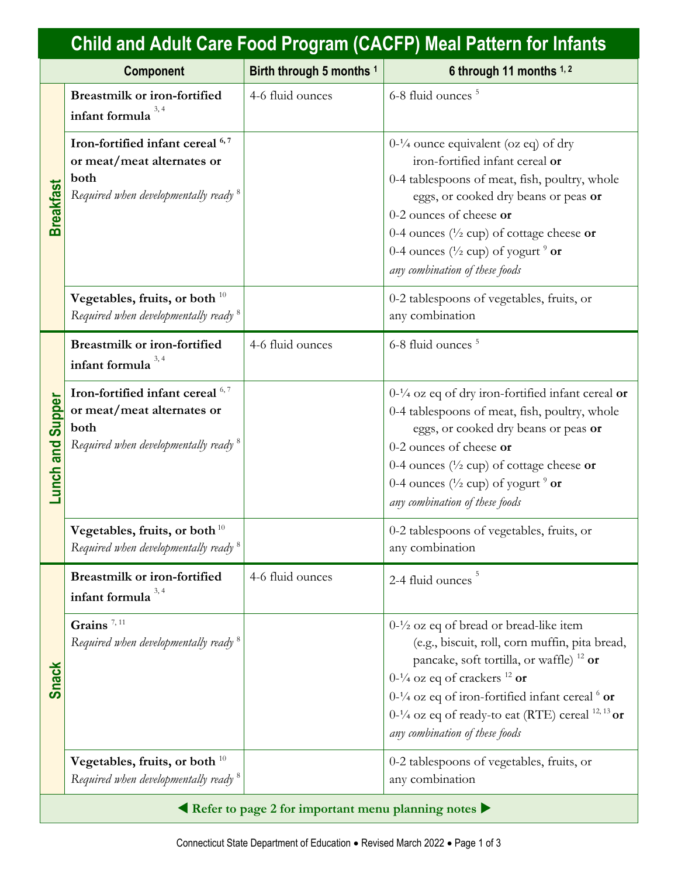| <b>Child and Adult Care Food Program (CACFP) Meal Pattern for Infants</b> |                                                                                                                            |                          |                                                                                                                                                                                                                                                                                                                                                        |
|---------------------------------------------------------------------------|----------------------------------------------------------------------------------------------------------------------------|--------------------------|--------------------------------------------------------------------------------------------------------------------------------------------------------------------------------------------------------------------------------------------------------------------------------------------------------------------------------------------------------|
|                                                                           | <b>Component</b>                                                                                                           | Birth through 5 months 1 | 6 through 11 months 1,2                                                                                                                                                                                                                                                                                                                                |
| <b>Breakfast</b>                                                          | <b>Breastmilk or iron-fortified</b><br>infant formula                                                                      | 4-6 fluid ounces         | 6-8 fluid ounces <sup>5</sup>                                                                                                                                                                                                                                                                                                                          |
|                                                                           | Iron-fortified infant cereal 6,7<br>or meat/meat alternates or<br>both<br>Required when developmentally ready <sup>8</sup> |                          | $0-1/4$ ounce equivalent (oz eq) of dry<br>iron-fortified infant cereal or<br>0-4 tablespoons of meat, fish, poultry, whole<br>eggs, or cooked dry beans or peas or<br>0-2 ounces of cheese or<br>0-4 ounces ( $\frac{1}{2}$ cup) of cottage cheese or<br>0-4 ounces ( $\frac{1}{2}$ cup) of yogurt $\frac{9}{2}$ or<br>any combination of these foods |
|                                                                           | Vegetables, fruits, or both $10$<br>Required when developmentally ready <sup>8</sup>                                       |                          | 0-2 tablespoons of vegetables, fruits, or<br>any combination                                                                                                                                                                                                                                                                                           |
| <b>Supper</b><br><b>Lunch</b> and                                         | <b>Breastmilk or iron-fortified</b><br>infant formula                                                                      | 4-6 fluid ounces         | 6-8 fluid ounces <sup>5</sup>                                                                                                                                                                                                                                                                                                                          |
|                                                                           | Iron-fortified infant cereal 6,7<br>or meat/meat alternates or<br>both<br>Required when developmentally ready <sup>8</sup> |                          | $0-1/4$ oz eq of dry iron-fortified infant cereal or<br>0-4 tablespoons of meat, fish, poultry, whole<br>eggs, or cooked dry beans or peas or<br>0-2 ounces of cheese or<br>0-4 ounces ( $\frac{1}{2}$ cup) of cottage cheese or<br>0-4 ounces ( $\frac{1}{2}$ cup) of yogurt $\frac{9}{2}$ or<br>any combination of these foods                       |
|                                                                           | Vegetables, fruits, or both $^{10}$<br>Required when developmentally ready <sup>8</sup>                                    |                          | 0-2 tablespoons of vegetables, fruits, or<br>any combination                                                                                                                                                                                                                                                                                           |
| <b>Snack</b>                                                              | <b>Breastmilk or iron-fortified</b><br>infant formula                                                                      | 4-6 fluid ounces         | 2-4 fluid ounces                                                                                                                                                                                                                                                                                                                                       |
|                                                                           | Grains <sup><math>7,11</math></sup><br>Required when developmentally ready <sup>8</sup>                                    |                          | $0-1/2$ oz eq of bread or bread-like item<br>(e.g., biscuit, roll, corn muffin, pita bread,<br>pancake, soft tortilla, or waffle) <sup>12</sup> or<br>$0-1/4$ oz eq of crackers $12$ or<br>$0-1/4$ oz eq of iron-fortified infant cereal $6$ or<br>$0-1/4$ oz eq of ready-to eat (RTE) cereal $^{12, 13}$ or<br>any combination of these foods         |
|                                                                           | Vegetables, fruits, or both $10$<br>Required when developmentally ready <sup>8</sup>                                       |                          | 0-2 tablespoons of vegetables, fruits, or<br>any combination                                                                                                                                                                                                                                                                                           |
| Refer to page 2 for important menu planning notes                         |                                                                                                                            |                          |                                                                                                                                                                                                                                                                                                                                                        |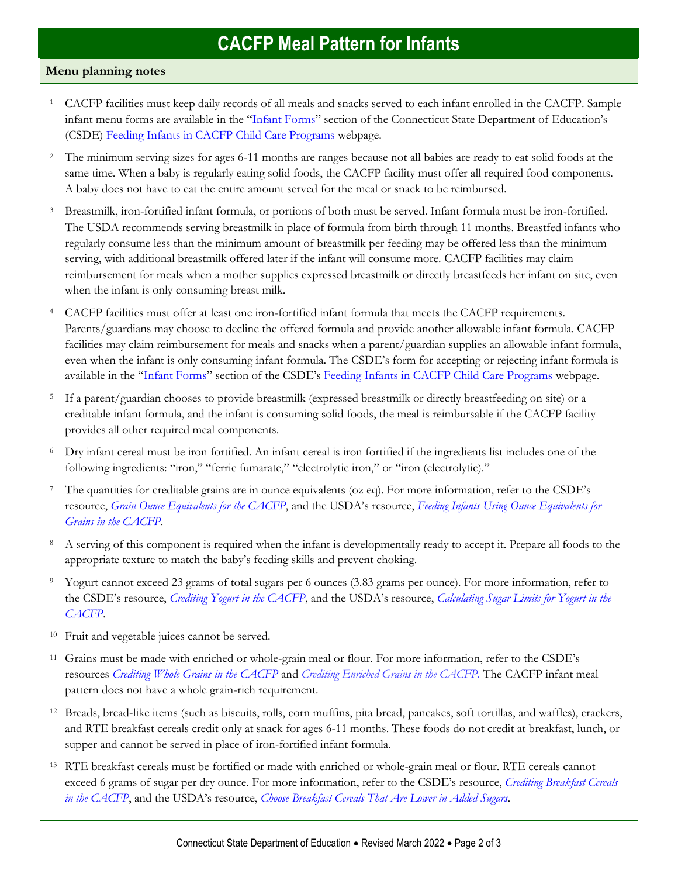## **CACFP Meal Pattern for Infants**

## **Menu planning notes**

- <sup>1</sup> CACFP facilities must keep daily records of all meals and snacks served to each infant enrolled in the CACFP. Sample infant menu forms are available in the "[Infant Forms](https://portal.ct.gov/SDE/Nutrition/Feeding-Infants-in-CACFP-Child-Care-Programs/Documents#InfantForms)" section of the Connecticut State Department of Education's (CSDE) [Feeding Infants in CACFP Child Care Programs](https://portal.ct.gov/SDE/Nutrition/Feeding-Infants-in-CACFP-Child-Care-Programs/Documents) webpage.
- <sup>2</sup> The minimum serving sizes for ages 6-11 months are ranges because not all babies are ready to eat solid foods at the same time. When a baby is regularly eating solid foods, the CACFP facility must offer all required food components. A baby does not have to eat the entire amount served for the meal or snack to be reimbursed.
- <sup>3</sup> Breastmilk, iron-fortified infant formula, or portions of both must be served. Infant formula must be iron-fortified. The USDA recommends serving breastmilk in place of formula from birth through 11 months. Breastfed infants who regularly consume less than the minimum amount of breastmilk per feeding may be offered less than the minimum serving, with additional breastmilk offered later if the infant will consume more. CACFP facilities may claim reimbursement for meals when a mother supplies expressed breastmilk or directly breastfeeds her infant on site, even when the infant is only consuming breast milk.
- <sup>4</sup> CACFP facilities must offer at least one iron-fortified infant formula that meets the CACFP requirements. Parents/guardians may choose to decline the offered formula and provide another allowable infant formula. CACFP facilities may claim reimbursement for meals and snacks when a parent/guardian supplies an allowable infant formula, even when the infant is only consuming infant formula. The CSDE's form for accepting or rejecting infant formula is available in the "[Infant Forms](https://portal.ct.gov/SDE/Nutrition/Feeding-Infants-in-CACFP-Child-Care-Programs/Documents#InfantForms)" section of the CSDE's [Feeding Infants in CACFP Child Care Programs](https://portal.ct.gov/SDE/Nutrition/Feeding-Infants-in-CACFP-Child-Care-Programs/Documents) webpage.
- <sup>5</sup> If a parent/guardian chooses to provide breastmilk (expressed breastmilk or directly breastfeeding on site) or a creditable infant formula, and the infant is consuming solid foods, the meal is reimbursable if the CACFP facility provides all other required meal components.
- <sup>6</sup> Dry infant cereal must be iron fortified. An infant cereal is iron fortified if the ingredients list includes one of the following ingredients: "iron," "ferric fumarate," "electrolytic iron," or "iron (electrolytic)."
- <sup>7</sup> The quantities for creditable grains are in ounce equivalents (oz eq). For more information, refer to the CSDE's resource, *[Grain Ounce Equivalents for the CACFP](https://portal.ct.gov/-/media/SDE/Nutrition/CACFP/Crediting/Grain_Oz_Eq_CACFP.pdf)*, and the USDA's resource, *[Feeding Infants Using Ounce Equivalents for](https://www.fns.usda.gov/tn/feeding-infants-using-ounce-equivalents-grains-cacfp)  [Grains in the CACFP](https://www.fns.usda.gov/tn/feeding-infants-using-ounce-equivalents-grains-cacfp)*.
- <sup>8</sup> A serving of this component is required when the infant is developmentally ready to accept it. Prepare all foods to the appropriate texture to match the baby's feeding skills and prevent choking.
- <sup>9</sup> Yogurt cannot exceed 23 grams of total sugars per 6 ounces (3.83 grams per ounce)*.* For more information, refer to the CSDE's resource, *[Crediting Yogurt in the CACFP](http://portal.ct.gov/-/media/SDE/Nutrition/CACFP/Crediting/Credit_Yogurt_CACFP.pdf)*, and the USDA's resource, *[Calculating Sugar Limits for Yogurt in the](https://www.fns.usda.gov/tn/calculating-sugar-limits-yogurt-cacfp)  [CACFP](https://www.fns.usda.gov/tn/calculating-sugar-limits-yogurt-cacfp)*.
- <sup>10</sup> Fruit and vegetable juices cannot be served.
- <sup>11</sup> Grains must be made with enriched or whole-grain meal or flour. For more information, refer to the CSDE's resources *[Crediting Whole Grains in the CACFP](https://portal.ct.gov/-/media/SDE/Nutrition/CACFP/Crediting/Credit_Whole_Grains_CACFP.pdf)* and *[Crediting Enriched Grains in the CACFP.](https://portal.ct.gov/-/media/SDE/Nutrition/CACFP/Crediting/Credit_Enriched_Grains_CACFP.pdf)* The CACFP infant meal pattern does not have a whole grain-rich requirement.
- <sup>12</sup> Breads, bread-like items (such as biscuits, rolls, corn muffins, pita bread, pancakes, soft tortillas, and waffles), crackers, and RTE breakfast cereals credit only at snack for ages 6-11 months. These foods do not credit at breakfast, lunch, or supper and cannot be served in place of iron-fortified infant formula.
- <sup>13</sup> RTE breakfast cereals must be fortified or made with enriched or whole-grain meal or flour. RTE cereals cannot exceed 6 grams of sugar per dry ounce. For more information, refer to the CSDE's resource, *[Crediting Breakfast Cereals](http://portal.ct.gov/-/media/SDE/Nutrition/CACFP/Crediting/Credit_Cereals_CACFP.pdf)  [in the CACFP](http://portal.ct.gov/-/media/SDE/Nutrition/CACFP/Crediting/Credit_Cereals_CACFP.pdf)*, and the USDA's resource, *[Choose Breakfast Cereals That Are Lower in Added Sugars.](https://www.fns.usda.gov/tn/choose-breakfast-cereals-are-lower-sugar)*